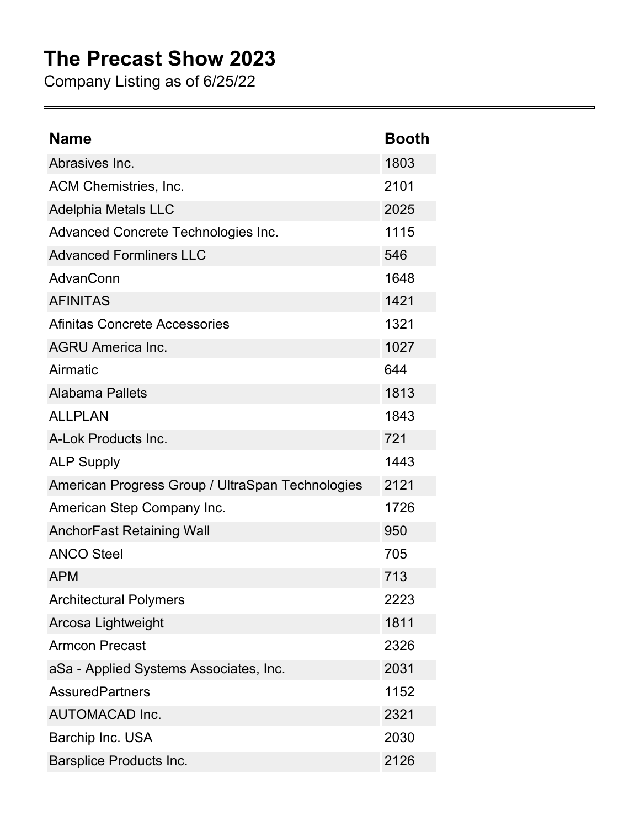## **The Precast Show 2023**

Company Listing as of 6/25/22

| <b>Name</b>                                      | <b>Booth</b> |
|--------------------------------------------------|--------------|
| Abrasives Inc.                                   | 1803         |
| ACM Chemistries, Inc.                            | 2101         |
| <b>Adelphia Metals LLC</b>                       | 2025         |
| Advanced Concrete Technologies Inc.              | 1115         |
| <b>Advanced Formliners LLC</b>                   | 546          |
| AdvanConn                                        | 1648         |
| <b>AFINITAS</b>                                  | 1421         |
| Afinitas Concrete Accessories                    | 1321         |
| <b>AGRU America Inc.</b>                         | 1027         |
| Airmatic                                         | 644          |
| <b>Alabama Pallets</b>                           | 1813         |
| <b>ALLPLAN</b>                                   | 1843         |
| A-Lok Products Inc.                              | 721          |
| <b>ALP Supply</b>                                | 1443         |
| American Progress Group / UltraSpan Technologies | 2121         |
| American Step Company Inc.                       | 1726         |
| <b>AnchorFast Retaining Wall</b>                 | 950          |
| <b>ANCO Steel</b>                                | 705          |
| <b>APM</b>                                       | 713          |
| <b>Architectural Polymers</b>                    | 2223         |
| Arcosa Lightweight                               | 1811         |
| <b>Armcon Precast</b>                            | 2326         |
| aSa - Applied Systems Associates, Inc.           | 2031         |
| <b>AssuredPartners</b>                           | 1152         |
| <b>AUTOMACAD Inc.</b>                            | 2321         |
| Barchip Inc. USA                                 | 2030         |
| <b>Barsplice Products Inc.</b>                   | 2126         |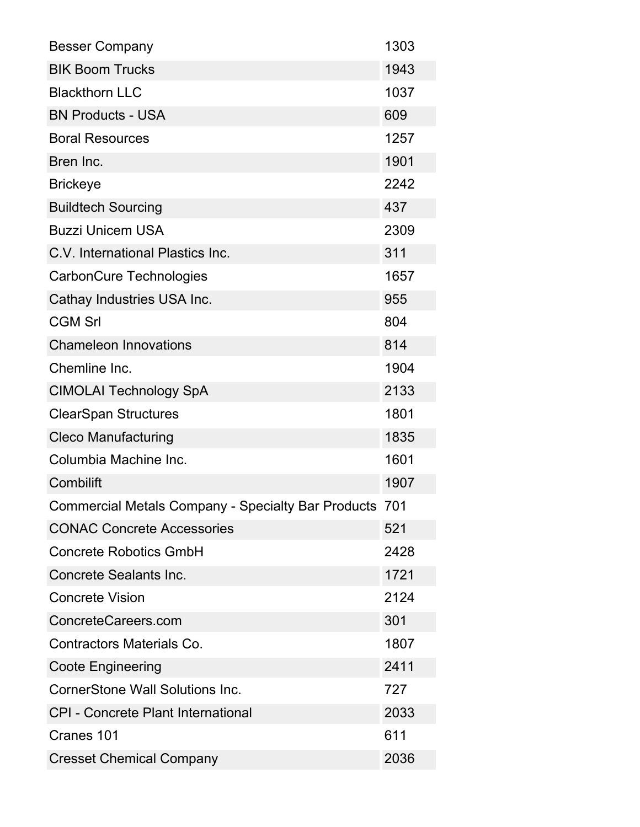| <b>Besser Company</b>                                  | 1303 |
|--------------------------------------------------------|------|
| <b>BIK Boom Trucks</b>                                 | 1943 |
| <b>Blackthorn LLC</b>                                  | 1037 |
| <b>BN Products - USA</b>                               | 609  |
| <b>Boral Resources</b>                                 | 1257 |
| Bren Inc.                                              | 1901 |
| <b>Brickeye</b>                                        | 2242 |
| <b>Buildtech Sourcing</b>                              | 437  |
| <b>Buzzi Unicem USA</b>                                | 2309 |
| C.V. International Plastics Inc.                       | 311  |
| <b>CarbonCure Technologies</b>                         | 1657 |
| Cathay Industries USA Inc.                             | 955  |
| <b>CGM Srl</b>                                         | 804  |
| <b>Chameleon Innovations</b>                           | 814  |
| Chemline Inc.                                          | 1904 |
| <b>CIMOLAI Technology SpA</b>                          | 2133 |
| <b>ClearSpan Structures</b>                            | 1801 |
| <b>Cleco Manufacturing</b>                             | 1835 |
| Columbia Machine Inc.                                  | 1601 |
| Combilift                                              | 1907 |
| Commercial Metals Company - Specialty Bar Products 701 |      |
| <b>CONAC Concrete Accessories</b>                      | 521  |
| <b>Concrete Robotics GmbH</b>                          | 2428 |
| <b>Concrete Sealants Inc.</b>                          | 1721 |
| <b>Concrete Vision</b>                                 | 2124 |
| ConcreteCareers.com                                    | 301  |
| <b>Contractors Materials Co.</b>                       | 1807 |
| <b>Coote Engineering</b>                               | 2411 |
| CornerStone Wall Solutions Inc.                        | 727  |
| <b>CPI - Concrete Plant International</b>              | 2033 |
| Cranes 101                                             | 611  |
| <b>Cresset Chemical Company</b>                        | 2036 |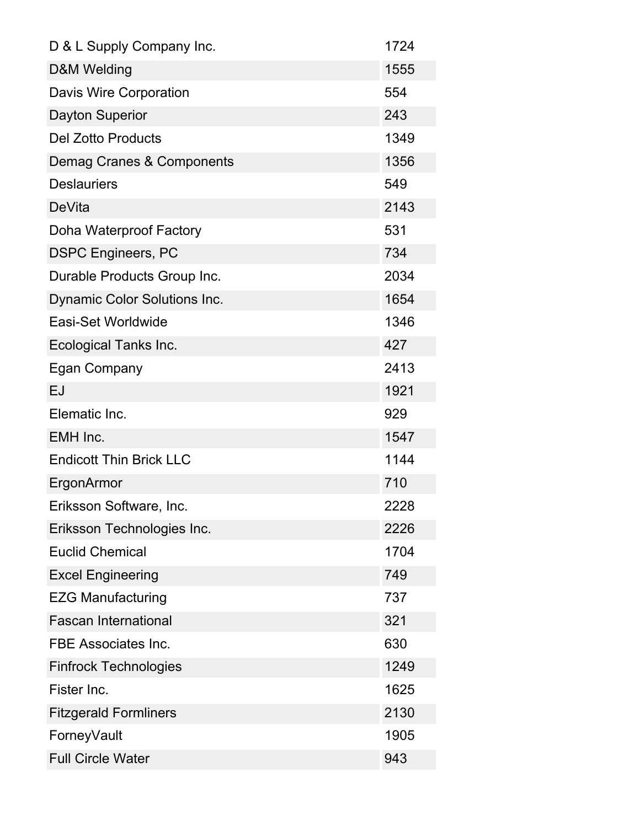| D & L Supply Company Inc.           | 1724 |
|-------------------------------------|------|
| D&M Welding                         | 1555 |
| Davis Wire Corporation              | 554  |
| <b>Dayton Superior</b>              | 243  |
| <b>Del Zotto Products</b>           | 1349 |
| Demag Cranes & Components           | 1356 |
| <b>Deslauriers</b>                  | 549  |
| <b>DeVita</b>                       | 2143 |
| Doha Waterproof Factory             | 531  |
| <b>DSPC Engineers, PC</b>           | 734  |
| Durable Products Group Inc.         | 2034 |
| <b>Dynamic Color Solutions Inc.</b> | 1654 |
| Easi-Set Worldwide                  | 1346 |
| <b>Ecological Tanks Inc.</b>        | 427  |
| Egan Company                        | 2413 |
| EJ                                  | 1921 |
| Elematic Inc.                       | 929  |
| EMH Inc.                            | 1547 |
| <b>Endicott Thin Brick LLC</b>      | 1144 |
| <b>ErgonArmor</b>                   | 710  |
| Eriksson Software, Inc.             | 2228 |
| Eriksson Technologies Inc.          | 2226 |
| <b>Euclid Chemical</b>              | 1704 |
| <b>Excel Engineering</b>            | 749  |
| <b>EZG Manufacturing</b>            | 737  |
| <b>Fascan International</b>         | 321  |
| <b>FBE Associates Inc.</b>          | 630  |
| <b>Finfrock Technologies</b>        | 1249 |
| Fister Inc.                         | 1625 |
| <b>Fitzgerald Formliners</b>        | 2130 |
| ForneyVault                         | 1905 |
| <b>Full Circle Water</b>            | 943  |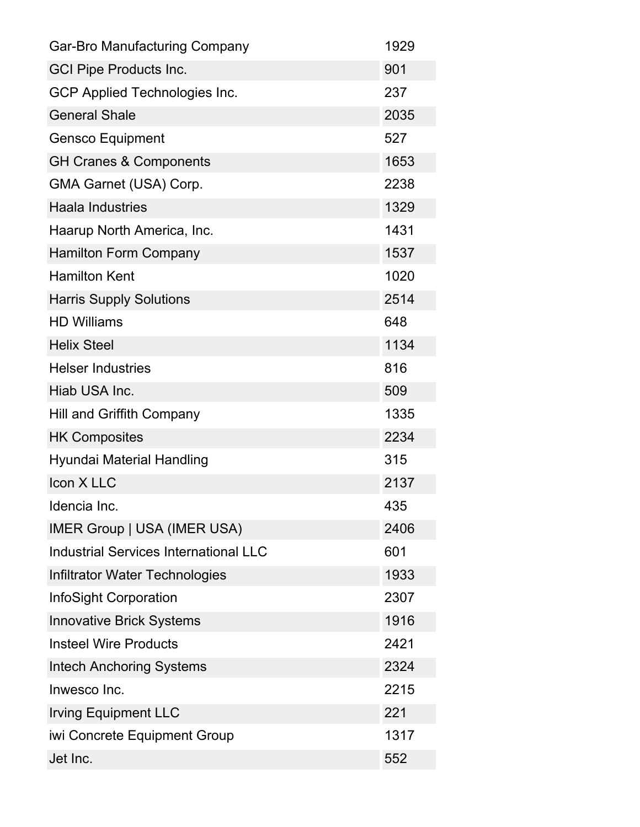| <b>Gar-Bro Manufacturing Company</b>         | 1929 |
|----------------------------------------------|------|
| <b>GCI Pipe Products Inc.</b>                | 901  |
| <b>GCP Applied Technologies Inc.</b>         | 237  |
| <b>General Shale</b>                         | 2035 |
| <b>Gensco Equipment</b>                      | 527  |
| <b>GH Cranes &amp; Components</b>            | 1653 |
| GMA Garnet (USA) Corp.                       | 2238 |
| <b>Haala Industries</b>                      | 1329 |
| Haarup North America, Inc.                   | 1431 |
| <b>Hamilton Form Company</b>                 | 1537 |
| <b>Hamilton Kent</b>                         | 1020 |
| <b>Harris Supply Solutions</b>               | 2514 |
| <b>HD Williams</b>                           | 648  |
| <b>Helix Steel</b>                           | 1134 |
| <b>Helser Industries</b>                     | 816  |
| Hiab USA Inc.                                | 509  |
| <b>Hill and Griffith Company</b>             | 1335 |
| <b>HK Composites</b>                         | 2234 |
| Hyundai Material Handling                    | 315  |
| Icon X LLC                                   | 2137 |
| Idencia Inc.                                 | 435  |
| <b>IMER Group   USA (IMER USA)</b>           | 2406 |
| <b>Industrial Services International LLC</b> | 601  |
| Infiltrator Water Technologies               | 1933 |
| <b>InfoSight Corporation</b>                 | 2307 |
| <b>Innovative Brick Systems</b>              | 1916 |
| <b>Insteel Wire Products</b>                 | 2421 |
| <b>Intech Anchoring Systems</b>              | 2324 |
| Inwesco Inc.                                 | 2215 |
| <b>Irving Equipment LLC</b>                  | 221  |
| iwi Concrete Equipment Group                 | 1317 |
| Jet Inc.                                     | 552  |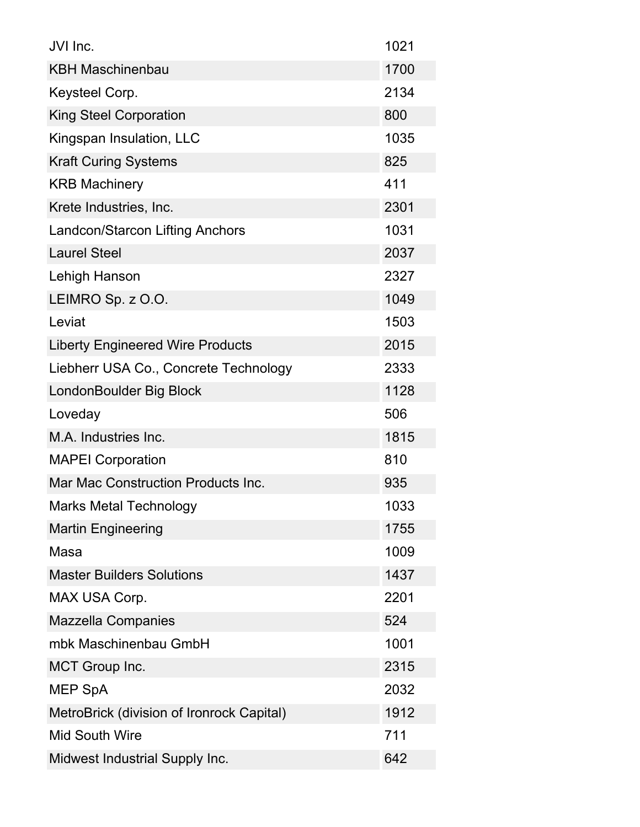| JVI Inc.                                  | 1021 |
|-------------------------------------------|------|
| <b>KBH Maschinenbau</b>                   | 1700 |
| Keysteel Corp.                            | 2134 |
| <b>King Steel Corporation</b>             | 800  |
| Kingspan Insulation, LLC                  | 1035 |
| <b>Kraft Curing Systems</b>               | 825  |
| <b>KRB Machinery</b>                      | 411  |
| Krete Industries, Inc.                    | 2301 |
| <b>Landcon/Starcon Lifting Anchors</b>    | 1031 |
| <b>Laurel Steel</b>                       | 2037 |
| Lehigh Hanson                             | 2327 |
| LEIMRO Sp. z O.O.                         | 1049 |
| Leviat                                    | 1503 |
| <b>Liberty Engineered Wire Products</b>   | 2015 |
| Liebherr USA Co., Concrete Technology     | 2333 |
| LondonBoulder Big Block                   | 1128 |
| Loveday                                   | 506  |
|                                           |      |
| M.A. Industries Inc.                      | 1815 |
| <b>MAPEI Corporation</b>                  | 810  |
| Mar Mac Construction Products Inc.        | 935  |
| <b>Marks Metal Technology</b>             | 1033 |
| <b>Martin Engineering</b>                 | 1755 |
| Masa                                      | 1009 |
| <b>Master Builders Solutions</b>          | 1437 |
| MAX USA Corp.                             | 2201 |
| <b>Mazzella Companies</b>                 | 524  |
| mbk Maschinenbau GmbH                     | 1001 |
| <b>MCT Group Inc.</b>                     | 2315 |
| <b>MEP SpA</b>                            | 2032 |
| MetroBrick (division of Ironrock Capital) | 1912 |
| <b>Mid South Wire</b>                     | 711  |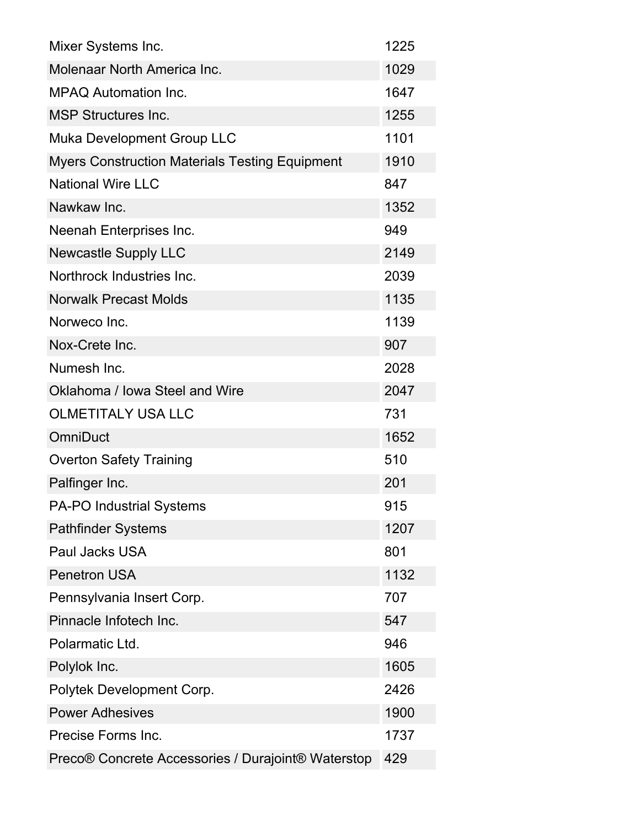| Mixer Systems Inc.                                    | 1225 |
|-------------------------------------------------------|------|
| Molenaar North America Inc.                           | 1029 |
| <b>MPAQ Automation Inc.</b>                           | 1647 |
| <b>MSP Structures Inc.</b>                            | 1255 |
| <b>Muka Development Group LLC</b>                     | 1101 |
| <b>Myers Construction Materials Testing Equipment</b> | 1910 |
| <b>National Wire LLC</b>                              | 847  |
| Nawkaw Inc.                                           | 1352 |
| Neenah Enterprises Inc.                               | 949  |
| <b>Newcastle Supply LLC</b>                           | 2149 |
| Northrock Industries Inc.                             | 2039 |
| <b>Norwalk Precast Molds</b>                          | 1135 |
| Norweco Inc.                                          | 1139 |
| Nox-Crete Inc.                                        | 907  |
| Numesh Inc.                                           | 2028 |
| Oklahoma / Iowa Steel and Wire                        | 2047 |
| <b>OLMETITALY USA LLC</b>                             | 731  |
| <b>OmniDuct</b>                                       | 1652 |
| <b>Overton Safety Training</b>                        | 510  |
| Palfinger Inc.                                        | 201  |
| <b>PA-PO Industrial Systems</b>                       | 915  |
| <b>Pathfinder Systems</b>                             | 1207 |
| <b>Paul Jacks USA</b>                                 | 801  |
| <b>Penetron USA</b>                                   | 1132 |
| Pennsylvania Insert Corp.                             | 707  |
| Pinnacle Infotech Inc.                                | 547  |
| Polarmatic Ltd.                                       | 946  |
| Polylok Inc.                                          | 1605 |
| Polytek Development Corp.                             | 2426 |
| <b>Power Adhesives</b>                                | 1900 |
| Precise Forms Inc.                                    | 1737 |
| Preco® Concrete Accessories / Durajoint® Waterstop    | 429  |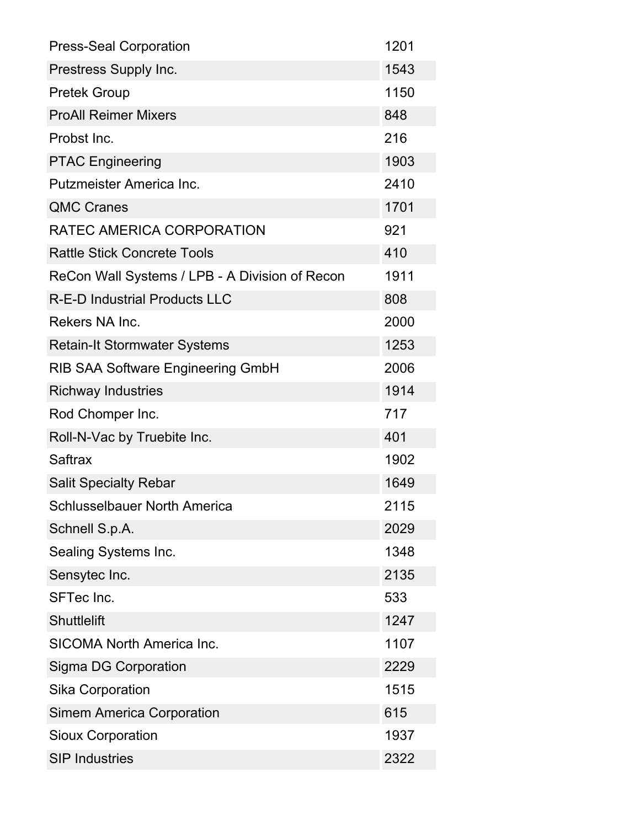| <b>Press-Seal Corporation</b>                  | 1201 |
|------------------------------------------------|------|
| Prestress Supply Inc.                          | 1543 |
| <b>Pretek Group</b>                            | 1150 |
| <b>ProAll Reimer Mixers</b>                    | 848  |
| Probst Inc.                                    | 216  |
| <b>PTAC Engineering</b>                        | 1903 |
| Putzmeister America Inc.                       | 2410 |
| <b>QMC Cranes</b>                              | 1701 |
| RATEC AMERICA CORPORATION                      | 921  |
| <b>Rattle Stick Concrete Tools</b>             | 410  |
| ReCon Wall Systems / LPB - A Division of Recon | 1911 |
| <b>R-E-D Industrial Products LLC</b>           | 808  |
| Rekers NA Inc.                                 | 2000 |
| <b>Retain-It Stormwater Systems</b>            | 1253 |
| <b>RIB SAA Software Engineering GmbH</b>       | 2006 |
| <b>Richway Industries</b>                      | 1914 |
| Rod Chomper Inc.                               | 717  |
| Roll-N-Vac by Truebite Inc.                    | 401  |
| <b>Saftrax</b>                                 | 1902 |
| <b>Salit Specialty Rebar</b>                   | 1649 |
| <b>Schlusselbauer North America</b>            | 2115 |
| Schnell S.p.A.                                 | 2029 |
| Sealing Systems Inc.                           | 1348 |
| Sensytec Inc.                                  | 2135 |
| <b>SFTec Inc.</b>                              | 533  |
| <b>Shuttlelift</b>                             | 1247 |
| <b>SICOMA North America Inc.</b>               | 1107 |
| <b>Sigma DG Corporation</b>                    | 2229 |
| Sika Corporation                               | 1515 |
| <b>Simem America Corporation</b>               | 615  |
| <b>Sioux Corporation</b>                       | 1937 |
| <b>SIP Industries</b>                          | 2322 |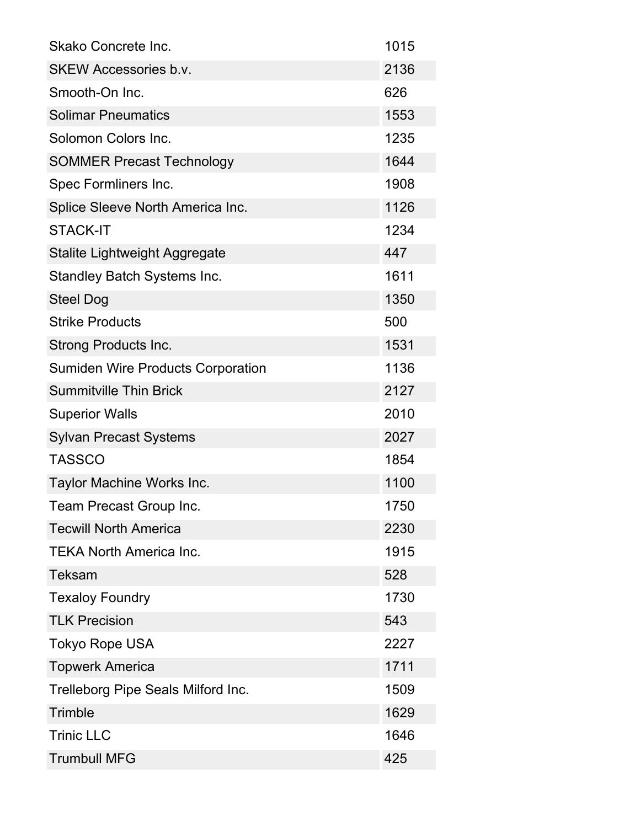| Skako Concrete Inc.                      | 1015 |
|------------------------------------------|------|
| <b>SKEW Accessories b.v.</b>             | 2136 |
| Smooth-On Inc.                           | 626  |
| <b>Solimar Pneumatics</b>                | 1553 |
| Solomon Colors Inc.                      | 1235 |
| <b>SOMMER Precast Technology</b>         | 1644 |
| Spec Formliners Inc.                     | 1908 |
| Splice Sleeve North America Inc.         | 1126 |
| <b>STACK-IT</b>                          | 1234 |
| Stalite Lightweight Aggregate            | 447  |
| <b>Standley Batch Systems Inc.</b>       | 1611 |
| <b>Steel Dog</b>                         | 1350 |
| <b>Strike Products</b>                   | 500  |
| <b>Strong Products Inc.</b>              | 1531 |
| <b>Sumiden Wire Products Corporation</b> | 1136 |
| <b>Summitville Thin Brick</b>            | 2127 |
| <b>Superior Walls</b>                    | 2010 |
| <b>Sylvan Precast Systems</b>            | 2027 |
| <b>TASSCO</b>                            | 1854 |
| Taylor Machine Works Inc.                | 1100 |
| Team Precast Group Inc.                  | 1750 |
| <b>Tecwill North America</b>             | 2230 |
| <b>TEKA North America Inc.</b>           | 1915 |
| <b>Teksam</b>                            | 528  |
| <b>Texaloy Foundry</b>                   | 1730 |
| <b>TLK Precision</b>                     | 543  |
| <b>Tokyo Rope USA</b>                    | 2227 |
| <b>Topwerk America</b>                   | 1711 |
| Trelleborg Pipe Seals Milford Inc.       | 1509 |
| Trimble                                  | 1629 |
| <b>Trinic LLC</b>                        | 1646 |
| <b>Trumbull MFG</b>                      | 425  |